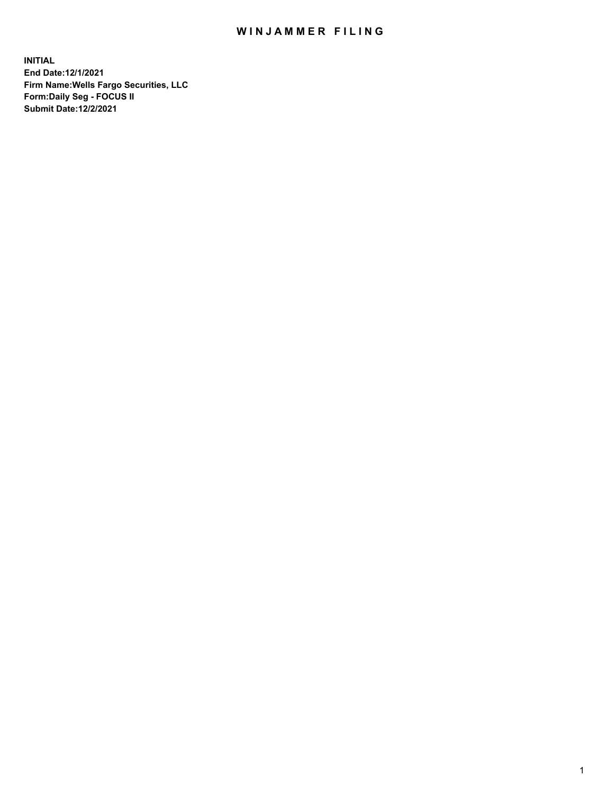## WIN JAMMER FILING

**INITIAL End Date:12/1/2021 Firm Name:Wells Fargo Securities, LLC Form:Daily Seg - FOCUS II Submit Date:12/2/2021**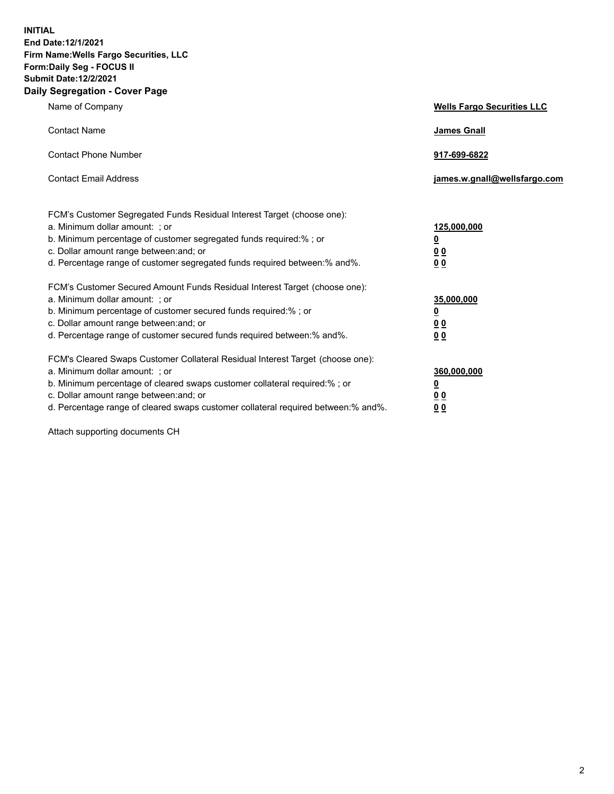**INITIAL End Date:12/1/2021 Firm Name:Wells Fargo Securities, LLC Form:Daily Seg - FOCUS II Submit Date:12/2/2021 Daily Segregation - Cover Page**

| Name of Company                                                                                                                                                                                                                                                                                                                | <b>Wells Fargo Securities LLC</b>                           |
|--------------------------------------------------------------------------------------------------------------------------------------------------------------------------------------------------------------------------------------------------------------------------------------------------------------------------------|-------------------------------------------------------------|
| <b>Contact Name</b>                                                                                                                                                                                                                                                                                                            | <b>James Gnall</b>                                          |
| <b>Contact Phone Number</b>                                                                                                                                                                                                                                                                                                    | 917-699-6822                                                |
| <b>Contact Email Address</b>                                                                                                                                                                                                                                                                                                   | james.w.gnall@wellsfargo.com                                |
| FCM's Customer Segregated Funds Residual Interest Target (choose one):<br>a. Minimum dollar amount: ; or<br>b. Minimum percentage of customer segregated funds required:% ; or<br>c. Dollar amount range between: and; or<br>d. Percentage range of customer segregated funds required between:% and%.                         | 125,000,000<br><u>0</u><br>0 <sub>0</sub><br>0 <sub>0</sub> |
| FCM's Customer Secured Amount Funds Residual Interest Target (choose one):<br>a. Minimum dollar amount: ; or<br>b. Minimum percentage of customer secured funds required:%; or<br>c. Dollar amount range between: and; or<br>d. Percentage range of customer secured funds required between:% and%.                            | 35,000,000<br><u>0</u><br>00<br>0 <sub>0</sub>              |
| FCM's Cleared Swaps Customer Collateral Residual Interest Target (choose one):<br>a. Minimum dollar amount: ; or<br>b. Minimum percentage of cleared swaps customer collateral required:% ; or<br>c. Dollar amount range between: and; or<br>d. Percentage range of cleared swaps customer collateral required between:% and%. | 360,000,000<br><u>0</u><br>0 <sub>0</sub><br>0 <sub>0</sub> |

Attach supporting documents CH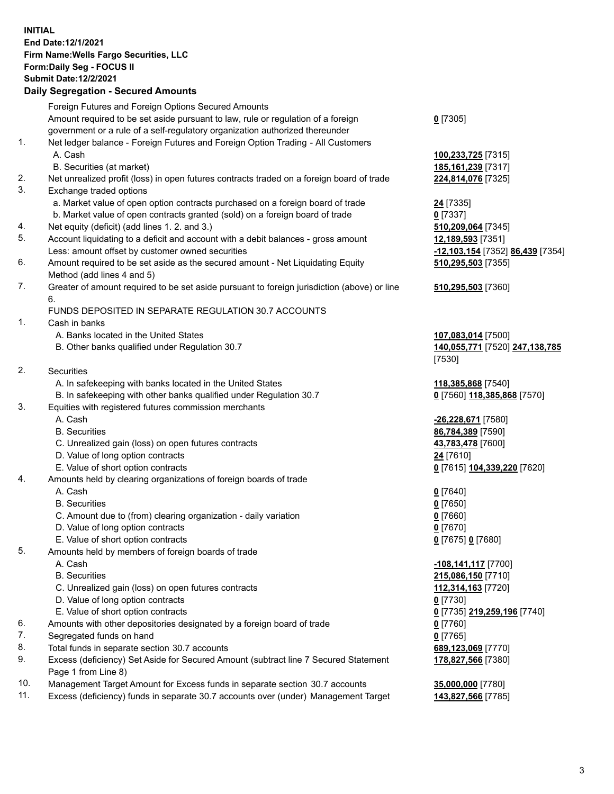**INITIAL End Date:12/1/2021 Firm Name:Wells Fargo Securities, LLC Form:Daily Seg - FOCUS II Submit Date:12/2/2021**

## **Daily Segregation - Secured Amounts**

|     | Foreign Futures and Foreign Options Secured Amounts                                         |                                                      |
|-----|---------------------------------------------------------------------------------------------|------------------------------------------------------|
|     | Amount required to be set aside pursuant to law, rule or regulation of a foreign            | $0$ [7305]                                           |
|     | government or a rule of a self-regulatory organization authorized thereunder                |                                                      |
| 1.  | Net ledger balance - Foreign Futures and Foreign Option Trading - All Customers             |                                                      |
|     | A. Cash                                                                                     | 100,233,725 [7315]                                   |
|     | B. Securities (at market)                                                                   | 185, 161, 239 [7317]                                 |
| 2.  | Net unrealized profit (loss) in open futures contracts traded on a foreign board of trade   | 224,814,076 [7325]                                   |
| 3.  | Exchange traded options                                                                     |                                                      |
|     | a. Market value of open option contracts purchased on a foreign board of trade              | 24 [7335]                                            |
|     | b. Market value of open contracts granted (sold) on a foreign board of trade                | $0$ [7337]                                           |
| 4.  | Net equity (deficit) (add lines 1. 2. and 3.)                                               | 510,209,064 [7345]                                   |
| 5.  | Account liquidating to a deficit and account with a debit balances - gross amount           | 12,189,593 [7351]                                    |
|     | Less: amount offset by customer owned securities                                            | <mark>-12,103,154</mark> [7352] <b>86,439</b> [7354] |
| 6.  | Amount required to be set aside as the secured amount - Net Liquidating Equity              | 510,295,503 [7355]                                   |
|     | Method (add lines 4 and 5)                                                                  |                                                      |
| 7.  | Greater of amount required to be set aside pursuant to foreign jurisdiction (above) or line | 510,295,503 [7360]                                   |
|     | 6.                                                                                          |                                                      |
|     | FUNDS DEPOSITED IN SEPARATE REGULATION 30.7 ACCOUNTS                                        |                                                      |
| 1.  | Cash in banks                                                                               |                                                      |
|     | A. Banks located in the United States                                                       | 107,083,014 [7500]                                   |
|     | B. Other banks qualified under Regulation 30.7                                              | 140,055,771 [7520] 247,138,785                       |
|     |                                                                                             | [7530]                                               |
| 2.  | <b>Securities</b>                                                                           |                                                      |
|     | A. In safekeeping with banks located in the United States                                   | 118,385,868 [7540]                                   |
|     | B. In safekeeping with other banks qualified under Regulation 30.7                          | 0 [7560] 118,385,868 [7570]                          |
| 3.  | Equities with registered futures commission merchants                                       |                                                      |
|     | A. Cash                                                                                     | -26,228,671 [7580]                                   |
|     | <b>B.</b> Securities                                                                        | 86,784,389 [7590]                                    |
|     | C. Unrealized gain (loss) on open futures contracts                                         | 43,783,478 [7600]                                    |
|     | D. Value of long option contracts                                                           | 24 [7610]                                            |
|     | E. Value of short option contracts                                                          | 0 [7615] 104,339,220 [7620]                          |
| 4.  | Amounts held by clearing organizations of foreign boards of trade                           |                                                      |
|     | A. Cash                                                                                     | $0$ [7640]                                           |
|     | <b>B.</b> Securities                                                                        | $0$ [7650]                                           |
|     | C. Amount due to (from) clearing organization - daily variation                             | $0$ [7660]                                           |
|     | D. Value of long option contracts                                                           | $0$ [7670]                                           |
|     | E. Value of short option contracts                                                          | 0 [7675] 0 [7680]                                    |
| 5.  | Amounts held by members of foreign boards of trade                                          |                                                      |
|     | A. Cash                                                                                     | -108,141,117 [7700]                                  |
|     | <b>B.</b> Securities                                                                        | 215,086,150 [7710]                                   |
|     | C. Unrealized gain (loss) on open futures contracts                                         | 112,314,163 [7720]                                   |
|     | D. Value of long option contracts                                                           | $0$ [7730]                                           |
|     | E. Value of short option contracts                                                          | 0 [7735] 219,259,196 [7740]                          |
| 6.  | Amounts with other depositories designated by a foreign board of trade                      | $0$ [7760]                                           |
| 7.  | Segregated funds on hand                                                                    | $0$ [7765]                                           |
| 8.  | Total funds in separate section 30.7 accounts                                               | 689,123,069 [7770]                                   |
| 9.  | Excess (deficiency) Set Aside for Secured Amount (subtract line 7 Secured Statement         |                                                      |
|     | Page 1 from Line 8)                                                                         | 178,827,566 [7380]                                   |
| 10. | Management Target Amount for Excess funds in separate section 30.7 accounts                 | 35,000,000 [7780]                                    |
|     |                                                                                             |                                                      |

11. Excess (deficiency) funds in separate 30.7 accounts over (under) Management Target **143,827,566** [7785]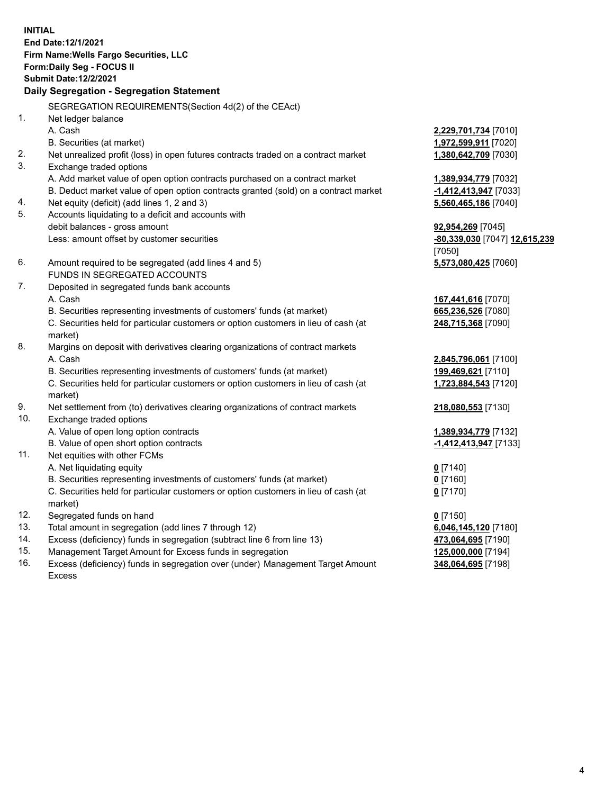**INITIAL End Date:12/1/2021 Firm Name:Wells Fargo Securities, LLC Form:Daily Seg - FOCUS II Submit Date:12/2/2021**

## **Daily Segregation - Segregation Statement**

SEGREGATION REQUIREMENTS(Section 4d(2) of the CEAct)

|     | SEGREGATION REQUIREMENTS(Section 4d(2) of the CEACt)                                |                               |
|-----|-------------------------------------------------------------------------------------|-------------------------------|
| 1.  | Net ledger balance                                                                  |                               |
|     | A. Cash                                                                             | 2,229,701,734 [7010]          |
|     | B. Securities (at market)                                                           | 1,972,599,911 [7020]          |
| 2.  | Net unrealized profit (loss) in open futures contracts traded on a contract market  | 1,380,642,709 [7030]          |
| 3.  | Exchange traded options                                                             |                               |
|     | A. Add market value of open option contracts purchased on a contract market         | 1,389,934,779 [7032]          |
|     | B. Deduct market value of open option contracts granted (sold) on a contract market | $-1,412,413,947$ [7033]       |
| 4.  | Net equity (deficit) (add lines 1, 2 and 3)                                         | 5,560,465,186 [7040]          |
| 5.  | Accounts liquidating to a deficit and accounts with                                 |                               |
|     | debit balances - gross amount                                                       | 92,954,269 [7045]             |
|     | Less: amount offset by customer securities                                          | -80,339,030 [7047] 12,615,239 |
|     |                                                                                     | [7050]                        |
| 6.  | Amount required to be segregated (add lines 4 and 5)                                | 5,573,080,425 [7060]          |
|     | FUNDS IN SEGREGATED ACCOUNTS                                                        |                               |
| 7.  | Deposited in segregated funds bank accounts                                         |                               |
|     | A. Cash                                                                             | 167,441,616 [7070]            |
|     | B. Securities representing investments of customers' funds (at market)              | 665,236,526 [7080]            |
|     | C. Securities held for particular customers or option customers in lieu of cash (at | 248,715,368 [7090]            |
|     | market)                                                                             |                               |
| 8.  | Margins on deposit with derivatives clearing organizations of contract markets      |                               |
|     | A. Cash                                                                             | 2,845,796,061 [7100]          |
|     | B. Securities representing investments of customers' funds (at market)              | 199,469,621 [7110]            |
|     | C. Securities held for particular customers or option customers in lieu of cash (at | 1,723,884,543 [7120]          |
|     | market)                                                                             |                               |
| 9.  | Net settlement from (to) derivatives clearing organizations of contract markets     | 218,080,553 [7130]            |
| 10. | Exchange traded options                                                             |                               |
|     | A. Value of open long option contracts                                              | 1,389,934,779 [7132]          |
|     | B. Value of open short option contracts                                             | -1,412,413,947 [7133]         |
| 11. | Net equities with other FCMs                                                        |                               |
|     | A. Net liquidating equity                                                           | $0$ [7140]                    |
|     | B. Securities representing investments of customers' funds (at market)              | $0$ [7160]                    |
|     | C. Securities held for particular customers or option customers in lieu of cash (at | $0$ [7170]                    |
|     | market)                                                                             |                               |
| 12. | Segregated funds on hand                                                            | $0$ [7150]                    |
| 13. | Total amount in segregation (add lines 7 through 12)                                | 6,046,145,120 [7180]          |
| 14. | Excess (deficiency) funds in segregation (subtract line 6 from line 13)             | 473,064,695 [7190]            |
| 15. | Management Target Amount for Excess funds in segregation                            | 125,000,000 [7194]            |
| 16. | Excess (deficiency) funds in segregation over (under) Management Target Amount      | 348,064,695 [7198]            |
|     | <b>Excess</b>                                                                       |                               |